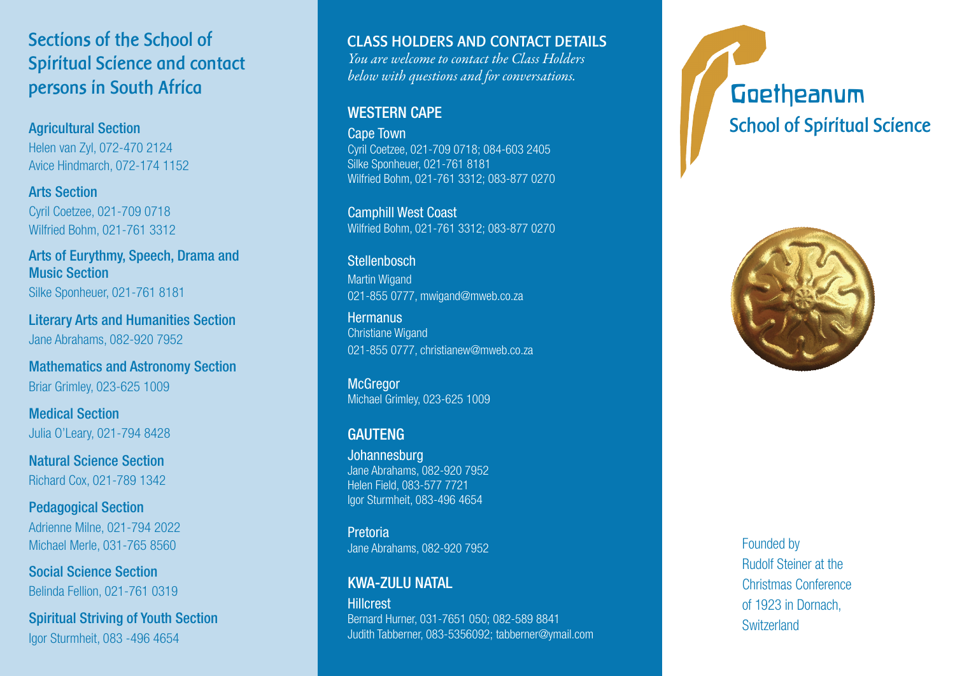## **Sections of the School of Spiritual Science and contact persons in South Africa**

Agricultural Section Helen van Zyl, 072-470 2124 Avice Hindmarch, 072-174 1152

Arts Section Cyril Coetzee, 021-709 0718 Wilfried Bohm, 021-761 3312

Arts of Eurythmy, Speech, Drama and Music Section Silke Sponheuer, 021-761 8181

Literary Arts and Humanities Section Jane Abrahams, 082-920 7952

Mathematics and Astronomy Section Briar Grimley, 023-625 1009

Medical Section Julia O'Leary, 021-794 8428

Natural Science Section Richard Cox, 021-789 1342

Pedagogical Section Adrienne Milne, 021-794 2022 Michael Merle, 031-765 8560

Social Science Section Belinda Fellion, 021-761 0319

Spiritual Striving of Youth Section Igor Sturmheit, 083 -496 4654

### **CLASS HOLDERS AND CONTACT DETAILS**

*You are welcome to contact the Class Holders below with questions and for conversations.*

#### WESTERN CAPE

Cape Town Cyril Coetzee, 021-709 0718; 084-603 2405 Silke Sponheuer, 021-761 8181 Wilfried Bohm, 021-761 3312; 083-877 0270

Camphill West Coast Wilfried Bohm, 021-761 3312; 083-877 0270

## **Stellenbosch**

Martin Wigand 021-855 0777, mwigand@mweb.co.za

**Hermanus** Christiane Wigand 021-855 0777, christianew@mweb.co.za

**McGregor** Michael Grimley, 023-625 1009

#### GAUTENG

Johannesburg Jane Abrahams, 082-920 7952 Helen Field, 083-577 7721 Igor Sturmheit, 083-496 4654

Pretoria Jane Abrahams, 082-920 7952

#### KWA-ZULU NATAL

**Hillcrest** Bernard Hurner, 031-7651 050; 082-589 8841 Judith Tabberner, 083-5356092; tabberner@ymail.com





Founded by Rudolf Steiner at the Christmas Conference of 1923 in Dornach, **Switzerland**